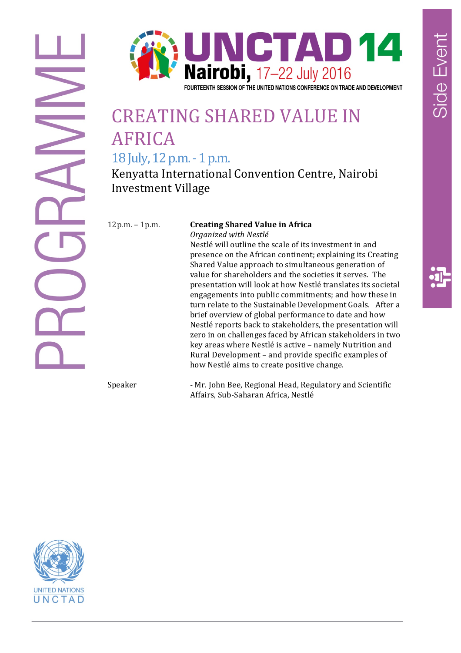

#### FOURTEENTH SESSION OF THE UNITED NATIONS CONFERENCE ON TRADE AND DEVELOPMENT

# **CREATING SHARED VALUE IN** AFRICA

18 July, 12 p.m. - 1 p.m.

Kenyatta International Convention Centre, Nairobi Investment Village

#### 12p.m. - 1p.m. **Creating Shared Value in Africa** *Organized with Nestlé*

Nestlé will outline the scale of its investment in and presence on the African continent; explaining its Creating Shared Value approach to simultaneous generation of value for shareholders and the societies it serves. The presentation will look at how Nestlé translates its societal engagements into public commitments; and how these in turn relate to the Sustainable Development Goals. After a brief overview of global performance to date and how Nestlé reports back to stakeholders, the presentation will zero in on challenges faced by African stakeholders in two key areas where Nestlé is active - namely Nutrition and Rural Development – and provide specific examples of how Nestlé aims to create positive change.

Speaker - Mr. John Bee, Regional Head, Regulatory and Scientific Affairs, Sub-Saharan Africa, Nestlé

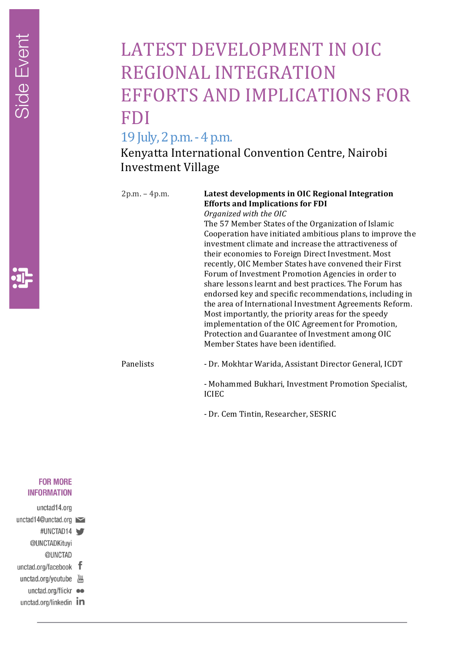## LATEST DEVELOPMENT IN OIC REGIONAL INTEGRATION EFFORTS AND IMPLICATIONS FOR FDI

### 19 July, 2 p.m. - 4 p.m.

Kenyatta International Convention Centre, Nairobi Investment Village

### 2p.m. – 4p.m. **Latest developments in OIC Regional Integration Efforts and Implications for FDI**

*Organized with the OIC* The 57 Member States of the Organization of Islamic Cooperation have initiated ambitious plans to improve the investment climate and increase the attractiveness of their economies to Foreign Direct Investment. Most recently, OIC Member States have convened their First Forum of Investment Promotion Agencies in order to share lessons learnt and best practices. The Forum has endorsed key and specific recommendations, including in the area of International Investment Agreements Reform. Most importantly, the priority areas for the speedy implementation of the OIC Agreement for Promotion, Protection and Guarantee of Investment among OIC Member States have been identified.

Panelists - Dr. Mokhtar Warida, Assistant Director General, ICDT

- Mohammed Bukhari, Investment Promotion Specialist, ICIEC

- Dr. Cem Tintin, Researcher, SESRIC

### **FOR MORE INFORMATION**

- unctad14.org
- unctad14@unctad.org
- #UNCTAD14 @UNCTADKituyi
- @UNCTAD
- unctad.org/facebook  $f$
- unctad.org/youtube
- unctad.org/flickr ••
- unctad.org/linkedin In

Side Event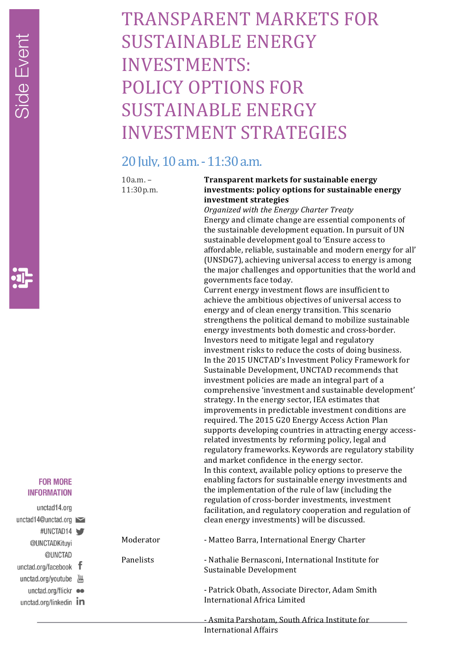## TRANSPARENT MARKETS FOR SUSTAINABLE ENERGY INVESTMENTS: POLICY OPTIONS FOR SUSTAINABLE ENERGY **INVESTMENT STRATEGIES**

### 20 Iulv, 10 a.m. - 11:30 a.m.

 $10a.m. -$ 11:30p.m.

Panelists

### **Transparent markets for sustainable energy** investments: policy options for sustainable energy **investment strategies**

*Organized with the Energy Charter Treaty* Energy and climate change are essential components of the sustainable development equation. In pursuit of UN sustainable development goal to 'Ensure access to affordable, reliable, sustainable and modern energy for all' (UNSDG7), achieving universal access to energy is among the major challenges and opportunities that the world and governments face today.

Current energy investment flows are insufficient to achieve the ambitious objectives of universal access to energy and of clean energy transition. This scenario strengthens the political demand to mobilize sustainable energy investments both domestic and cross-border. Investors need to mitigate legal and regulatory investment risks to reduce the costs of doing business. In the 2015 UNCTAD's Investment Policy Framework for Sustainable Development, UNCTAD recommends that investment policies are made an integral part of a comprehensive 'investment and sustainable development' strategy. In the energy sector, IEA estimates that improvements in predictable investment conditions are required. The 2015 G20 Energy Access Action Plan supports developing countries in attracting energy accessrelated investments by reforming policy, legal and regulatory frameworks. Keywords are regulatory stability and market confidence in the energy sector. In this context, available policy options to preserve the enabling factors for sustainable energy investments and the implementation of the rule of law (including the regulation of cross-border investments, investment facilitation, and regulatory cooperation and regulation of clean energy investments) will be discussed.

Moderator - Matteo Barra, International Energy Charter

> - Nathalie Bernasconi, International Institute for Sustainable Development

> - Patrick Obath, Associate Director, Adam Smith International Africa Limited

- Asmita Parshotam, South Africa Institute for International Affairs

### **FOR MORE INFORMATION**

- unctad14.org unctad14@unctad.org #UNCTAD14 @UNCTADKituyi @UNCTAD unctad.org/facebook  $f$ unctad.org/youtube  $\frac{Y_{0U}}{1000}$ unctad.org/flickr ●●
- unctad.org/linkedin  $\mathbf{in}$

Side Event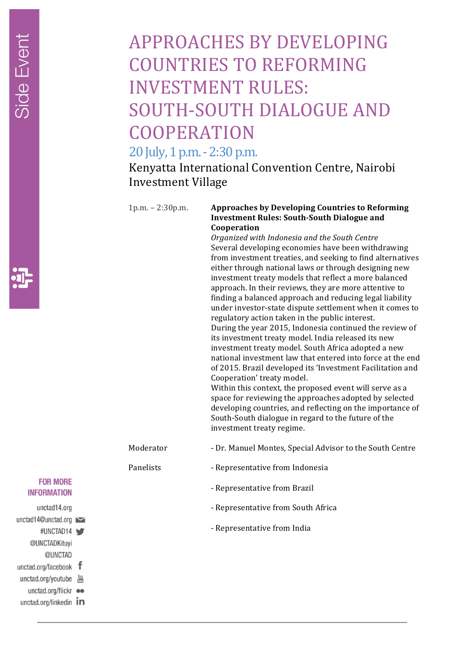## APPROACHES BY DEVELOPING COUNTRIES TO REFORMING INVESTMENT RULES: SOUTH-SOUTH DIALOGUE AND **COOPERATION**

### 20 July, 1 p.m. - 2:30 p.m.

Kenyatta International Convention Centre, Nairobi Investment Village

Panelists

#### 1p.m. - 2:30p.m. **Approaches by Developing Countries to Reforming Investment Rules: South-South Dialogue and Cooperation**

*Organized with Indonesia and the South Centre* Several developing economies have been withdrawing from investment treaties, and seeking to find alternatives either through national laws or through designing new investment treaty models that reflect a more balanced approach. In their reviews, they are more attentive to finding a balanced approach and reducing legal liability under investor-state dispute settlement when it comes to regulatory action taken in the public interest. During the year 2015, Indonesia continued the review of its investment treaty model. India released its new investment treaty model. South Africa adopted a new national investment law that entered into force at the end of 2015. Brazil developed its 'Investment Facilitation and Cooperation' treaty model. Within this context, the proposed event will serve as a

space for reviewing the approaches adopted by selected developing countries, and reflecting on the importance of South-South dialogue in regard to the future of the investment treaty regime.

- Moderator - Dr. Manuel Montes, Special Advisor to the South Centre
	- Representative from Indonesia
		- Representative from Brazil
		- Representative from South Africa
		- Representative from India

**FOR MORE INFORMATION** 

unctad14.org

- unctad14@unctad.org
- #UNCTAD14 @UNCTADKituyi
- @UNCTAD
- unctad.org/facebook  $f$
- unctad.org/youtube  $\frac{Y_{0U}}{1000}$
- unctad.org/flickr ••
- unctad.org/linkedin  $\mathbf{in}$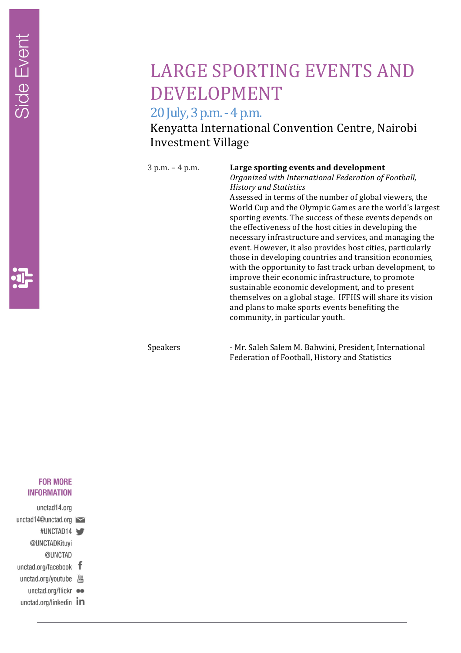

### LARGE SPORTING EVENTS AND DEVELOPMENT

20 July, 3 p.m. - 4 p.m.

Kenyatta International Convention Centre, Nairobi Investment Village

#### 3 p.m. – 4 p.m. **Large sporting events and development**

*Organized with International Federation of Football, History and Statistics*

Assessed in terms of the number of global viewers, the World Cup and the Olympic Games are the world's largest sporting events. The success of these events depends on the effectiveness of the host cities in developing the necessary infrastructure and services, and managing the event. However, it also provides host cities, particularly those in developing countries and transition economies, with the opportunity to fast track urban development, to improve their economic infrastructure, to promote sustainable economic development, and to present themselves on a global stage. IFFHS will share its vision and plans to make sports events benefiting the community, in particular youth.

Speakers - Mr. Saleh Salem M. Bahwini, President, International Federation of Football, History and Statistics

### **FOR MORE INFORMATION**

- unctad14.org
- unctad14@unctad.org
- #UNCTAD14 @UNCTADKituyi
- @UNCTAD
- unctad.org/facebook f
- unctad.org/youtube
- unctad.org/flickr ••
- unctad.org/linkedin In